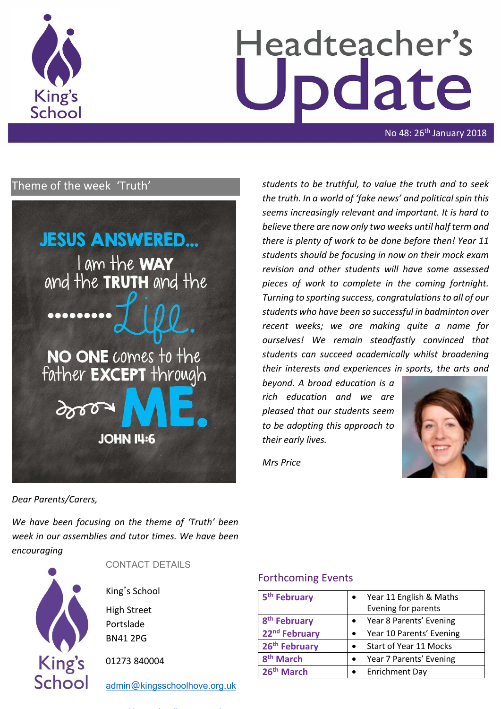

# Headteacher's date

No 48: 26<sup>th</sup> January 2018

# Theme of the week 'Truth'



*students to be truthful, to value the truth and to seek the truth. In a world of 'fake news' and political spin this seems increasingly relevant and important. It is hard to believe there are now only two weeks until half term and there is plenty of work to be done before then! Year 11 students should be focusing in now on their mock exam revision and other students will have some assessed pieces of work to complete in the coming fortnight. Turning to sporting success, congratulations to all of our students who have been so successful in badminton over recent weeks; we are making quite a name for ourselves! We remain steadfastly convinced that students can succeed academically whilst broadening their interests and experiences in sports, the arts and* 

*beyond. A broad education is a rich education and we are pleased that our students seem to be adopting this approach to their early lives.* 



*Mrs Price*

*Dear Parents/Carers,*

*We have been focusing on the theme of 'Truth' been week in our assemblies and tutor times. We have been encouraging* 



CONTACT DETAILS

King's School

High Street Portslade BN41 2PG

01273 840004

[admin@kingsschoolhove.org.uk](mailto:admin@kingsschoolhove.org.uk)

## Forthcoming Events

| 5 <sup>th</sup> February  | Year 11 English & Maths  |  |
|---------------------------|--------------------------|--|
|                           | Evening for parents      |  |
| 8 <sup>th</sup> February  | Year 8 Parents' Evening  |  |
| 22 <sup>nd</sup> February | Year 10 Parents' Evening |  |
| 26 <sup>th</sup> February | Start of Year 11 Mocks   |  |
| 8 <sup>th</sup> March     | Year 7 Parents' Evening  |  |
| 26 <sup>th</sup> March    | <b>Enrichment Day</b>    |  |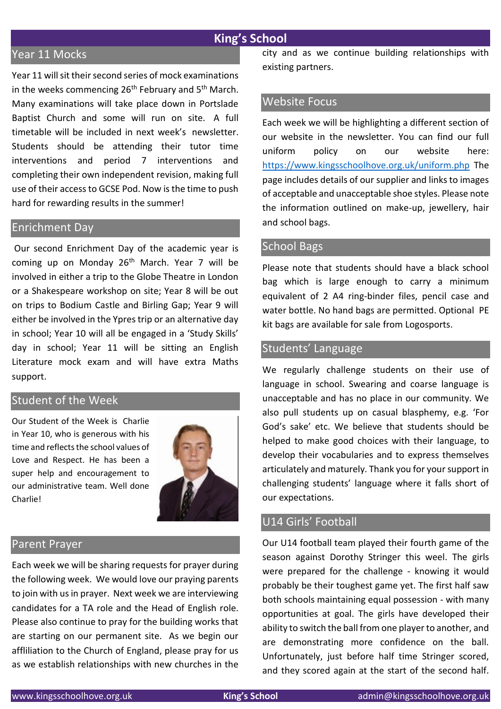### **King's School**

## Year 11 Mocks

Year 11 will sit their second series of mock examinations in the weeks commencing  $26<sup>th</sup>$  February and  $5<sup>th</sup>$  March. Many examinations will take place down in Portslade Baptist Church and some will run on site. A full timetable will be included in next week's newsletter. Students should be attending their tutor time interventions and period 7 interventions and completing their own independent revision, making full use of their access to GCSE Pod. Now is the time to push hard for rewarding results in the summer!

#### Enrichment Day

Our second Enrichment Day of the academic year is coming up on Monday  $26<sup>th</sup>$  March. Year 7 will be involved in either a trip to the Globe Theatre in London or a Shakespeare workshop on site; Year 8 will be out on trips to Bodium Castle and Birling Gap; Year 9 will either be involved in the Ypres trip or an alternative day in school; Year 10 will all be engaged in a 'Study Skills' day in school; Year 11 will be sitting an English Literature mock exam and will have extra Maths support.

#### Student of the Week

Our Student of the Week is Charlie in Year 10, who is generous with his time and reflects the school values of Love and Respect. He has been a super help and encouragement to our administrative team. Well done Charlie!



#### Parent Prayer

Each week we will be sharing requests for prayer during the following week. We would love our praying parents to join with us in prayer. Next week we are interviewing candidates for a TA role and the Head of English role. Please also continue to pray for the building works that are starting on our permanent site. As we begin our affliliation to the Church of England, please pray for us as we establish relationships with new churches in the city and as we continue building relationships with existing partners.

#### Website Focus

Each week we will be highlighting a different section of our website in the newsletter. You can find our full uniform policy on our website here: <https://www.kingsschoolhove.org.uk/uniform.php> The page includes details of our supplier and links to images of acceptable and unacceptable shoe styles. Please note the information outlined on make-up, jewellery, hair and school bags.

#### School Bags

Please note that students should have a black school bag which is large enough to carry a minimum equivalent of 2 A4 ring-binder files, pencil case and water bottle. No hand bags are permitted. Optional PE kit bags are available for sale from Logosports.

## Students' Language

We regularly challenge students on their use of language in school. Swearing and coarse language is unacceptable and has no place in our community. We also pull students up on casual blasphemy, e.g. 'For God's sake' etc. We believe that students should be helped to make good choices with their language, to develop their vocabularies and to express themselves articulately and maturely. Thank you for your support in challenging students' language where it falls short of our expectations.

## U14 Girls' Football

Our U14 football team played their fourth game of the season against Dorothy Stringer this weel. The girls were prepared for the challenge - knowing it would probably be their toughest game yet. The first half saw both schools maintaining equal possession - with many opportunities at goal. The girls have developed their ability to switch the ball from one player to another, and are demonstrating more confidence on the ball. Unfortunately, just before half time Stringer scored, and they scored again at the start of the second half.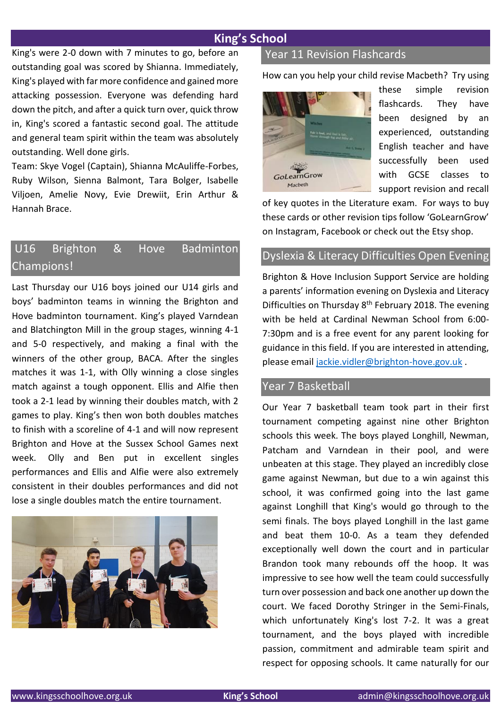## **King's School**

King's were 2-0 down with 7 minutes to go, before an outstanding goal was scored by Shianna. Immediately, King's played with far more confidence and gained more attacking possession. Everyone was defending hard down the pitch, and after a quick turn over, quick throw in, King's scored a fantastic second goal. The attitude and general team spirit within the team was absolutely outstanding. Well done girls.

Team: Skye Vogel (Captain), Shianna McAuliffe-Forbes, Ruby Wilson, Sienna Balmont, Tara Bolger, Isabelle Viljoen, Amelie Novy, Evie Drewiit, Erin Arthur & Hannah Brace.

# U16 Brighton & Hove Badminton Champions!

Last Thursday our U16 boys joined our U14 girls and boys' badminton teams in winning the Brighton and Hove badminton tournament. King's played Varndean and Blatchington Mill in the group stages, winning 4-1 and 5-0 respectively, and making a final with the winners of the other group, BACA. After the singles matches it was 1-1, with Olly winning a close singles match against a tough opponent. Ellis and Alfie then took a 2-1 lead by winning their doubles match, with 2 games to play. King's then won both doubles matches to finish with a scoreline of 4-1 and will now represent Brighton and Hove at the Sussex School Games next week. Olly and Ben put in excellent singles performances and Ellis and Alfie were also extremely consistent in their doubles performances and did not lose a single doubles match the entire tournament.



#### Year 11 Revision Flashcards

How can you help your child revise Macbeth? Try using



these simple revision flashcards. They have been designed by an experienced, outstanding English teacher and have successfully been used with GCSE classes to support revision and recall

of key quotes in the Literature exam. For ways to buy these cards or other revision tips follow 'GoLearnGrow' on Instagram, Facebook or check out the Etsy shop.

#### Dyslexia & Literacy Difficulties Open Evening

Brighton & Hove Inclusion Support Service are holding a parents' information evening on Dyslexia and Literacy Difficulties on Thursday 8<sup>th</sup> February 2018. The evening with be held at Cardinal Newman School from 6:00- 7:30pm and is a free event for any parent looking for guidance in this field. If you are interested in attending, please email [jackie.vidler@brighton-hove.gov.uk](mailto:jackie.vidler@brighton-hove.gov.uk) .

#### Year 7 Basketball

Our Year 7 basketball team took part in their first tournament competing against nine other Brighton schools this week. The boys played Longhill, Newman, Patcham and Varndean in their pool, and were unbeaten at this stage. They played an incredibly close game against Newman, but due to a win against this school, it was confirmed going into the last game against Longhill that King's would go through to the semi finals. The boys played Longhill in the last game and beat them 10-0. As a team they defended exceptionally well down the court and in particular Brandon took many rebounds off the hoop. It was impressive to see how well the team could successfully turn over possession and back one another up down the court. We faced Dorothy Stringer in the Semi-Finals, which unfortunately King's lost 7-2. It was a great tournament, and the boys played with incredible passion, commitment and admirable team spirit and respect for opposing schools. It came naturally for our